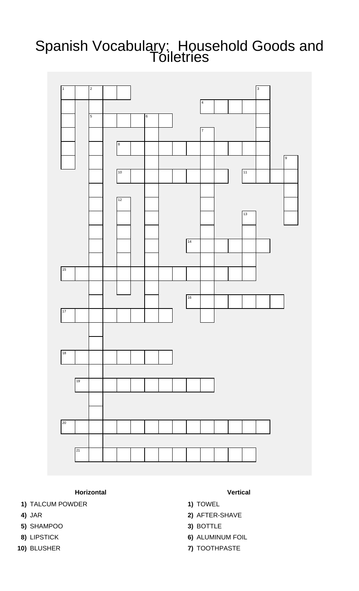## Spanish Vocabulary: Household Goods and Toiletries



## **Horizontal Vertical**

- **1)** TALCUM POWDER **1)** TOWEL
- 
- **5)** SHAMPOO **3)** BOTTLE
- 
- 
- 
- 
- **4)** JAR **2)** AFTER-SHAVE
	-
- **8)** LIPSTICK **6)** ALUMINUM FOIL
- **10)** BLUSHER **7)** TOOTHPASTE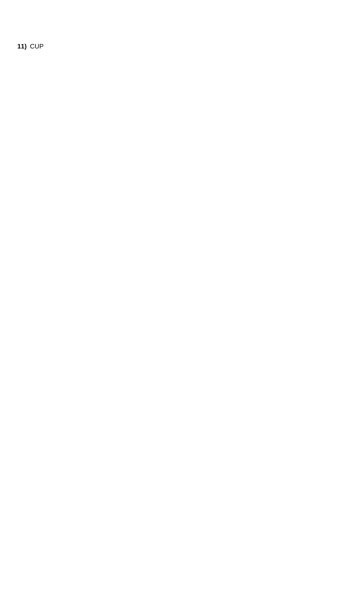**11)** CUP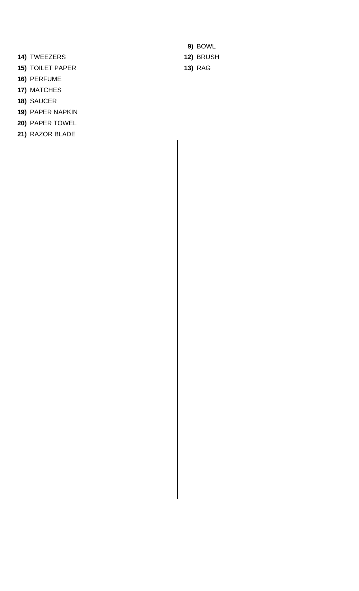- **14)** TWEEZERS **12)** BRUSH
- **15)** TOILET PAPER **13)** RAG
- **16)** PERFUME
- **17)** MATCHES
- **18)** SAUCER
- **19)** PAPER NAPKIN
- **20)** PAPER TOWEL
- **21)** RAZOR BLADE

**9)** BOWL